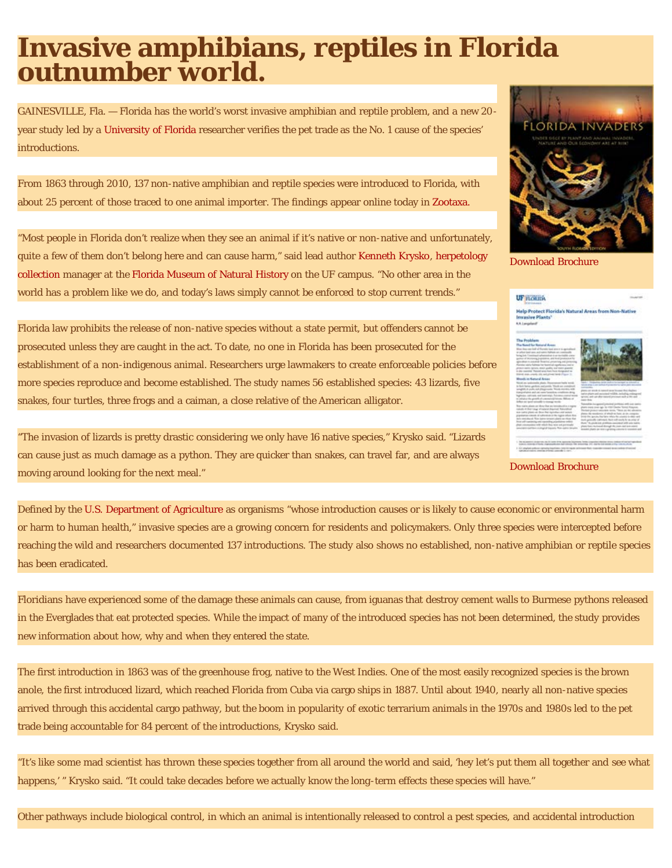# **Invasive amphibians, reptiles in Florida outnumber world.**

GAINESVILLE, Fla. — Florida has the world's worst invasive amphibian and reptile problem, and a new 20 year study led by a [University of Florida](http://www.ufl.edu/) researcher verifies the pet trade as the No. 1 cause of the species' introductions.

From 1863 through 2010, 137 non-native amphibian and reptile species were introduced to Florida, with about 25 percent of those traced to one animal importer. The findings appear online today in [Zootaxa.](http://www.mapress.com/zootaxa/list/2011/3028.html)

"Most people in Florida don't realize when they see an animal if it's native or non-native and unfortunately, quite a few of them don't belong here and can cause harm," said lead author [Kenneth Krysko,](http://www.flmnh.ufl.edu/directory/cvs/kenneyk_cv.htm) [herpetology](http://www.flmnh.ufl.edu/herpetology/collections.htm) [collection](http://www.flmnh.ufl.edu/herpetology/collections.htm) manager at the [Florida Museum of Natural History](http://www.flmnh.ufl.edu/) on the UF campus. "No other area in the world has a problem like we do, and today's laws simply cannot be enforced to stop current trends."

Florida law prohibits the release of non-native species without a state permit, but offenders cannot be prosecuted unless they are caught in the act. To date, no one in Florida has been prosecuted for the establishment of a non-indigenous animal. Researchers urge lawmakers to create enforceable policies before more species reproduce and become established. The study names 56 established species: 43 lizards, five snakes, four turtles, three frogs and a caiman, a close relative of the American alligator.



[Download Brochure](http://localhost:35706/Semtribe/Services/ERMD/PDF/FloridaInvaders.pdf)

#### **UF FLORIDA Help Protect Florida's Nati** aral Areas from N



[Download Brochure](http://localhost:35706/Semtribe/Services/ERMD/PDF/ufinvasiveplants.pdf)

"The invasion of lizards is pretty drastic considering we only have 16 native species," Krysko said. "Lizards can cause just as much damage as a python. They are quicker than snakes, can travel far, and are always moving around looking for the next meal."

Defined by the [U.S. Department of Agriculture](http://www.usda.gov/wps/portal/usda/usdahome) as organisms "whose introduction causes or is likely to cause economic or environmental harm or harm to human health," invasive species are a growing concern for residents and policymakers. Only three species were intercepted before reaching the wild and researchers documented 137 introductions. The study also shows no established, non-native amphibian or reptile species has been eradicated.

Floridians have experienced some of the damage these animals can cause, from iguanas that destroy cement walls to Burmese pythons released in the Everglades that eat protected species. While the impact of many of the introduced species has not been determined, the study provides new information about how, why and when they entered the state.

The first introduction in 1863 was of the greenhouse frog, native to the West Indies. One of the most easily recognized species is the brown anole, the first introduced lizard, which reached Florida from Cuba via cargo ships in 1887. Until about 1940, nearly all non-native species arrived through this accidental cargo pathway, but the boom in popularity of exotic terrarium animals in the 1970s and 1980s led to the pet trade being accountable for 84 percent of the introductions, Krysko said.

"It's like some mad scientist has thrown these species together from all around the world and said, 'hey let's put them all together and see what happens,' " Krysko said. "It could take decades before we actually know the long-term effects these species will have."

Other pathways include biological control, in which an animal is intentionally released to control a pest species, and accidental introduction